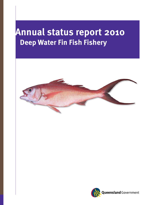# **Annual status report 2010 Deep Water Fin Fish Fishery**



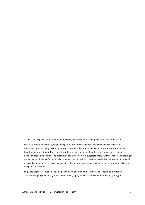© The State of Queensland, Department of Employment, Economic Development and Innovation, 2010.

Except as permitted by the *Copyright Act 1968*, no part of this work may in any form or by any electronic, mechanical, photocopying, recording, or any other means be reproduced, stored in a retrieval system or be broadcast or transmitted without the prior written permission of the Department of Employment, Economic Development and Innovation. The information contained herein is subject to change without notice. The copyright owner shall not be liable for technical or other errors or omissions contained herein. The reader/user accepts all risks and responsibility for losses, damages, costs and other consequences resulting directly or indirectly from using this information.

Enquiries about reproduction, including downloading or printing the web version, should be directed to SAFTRSCopyright@deedi.qld.gov.au or telephone 13 25 23 (Queensland residents) or +61 7 3404 6999.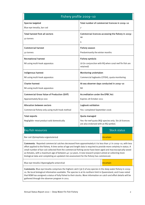| Fishery profile 2009-10                                                                                                                                                                                                                                                                                                                                                                                                                                                                                                                                        |                                                                                               |  |
|----------------------------------------------------------------------------------------------------------------------------------------------------------------------------------------------------------------------------------------------------------------------------------------------------------------------------------------------------------------------------------------------------------------------------------------------------------------------------------------------------------------------------------------------------------------|-----------------------------------------------------------------------------------------------|--|
| <b>Species targeted</b>                                                                                                                                                                                                                                                                                                                                                                                                                                                                                                                                        | Total number of commercial licences in 2009-10                                                |  |
| Blue eye trevalla, bar cod                                                                                                                                                                                                                                                                                                                                                                                                                                                                                                                                     | 7                                                                                             |  |
| <b>Total harvest from all sectors</b><br>50 tonnes                                                                                                                                                                                                                                                                                                                                                                                                                                                                                                             | Commercial licences accessing the fishery in 2009-<br>10                                      |  |
|                                                                                                                                                                                                                                                                                                                                                                                                                                                                                                                                                                | 4                                                                                             |  |
| <b>Commercial harvest</b>                                                                                                                                                                                                                                                                                                                                                                                                                                                                                                                                      | <b>Fishery season</b>                                                                         |  |
| 50 tonnes                                                                                                                                                                                                                                                                                                                                                                                                                                                                                                                                                      | Predominantly the winter months                                                               |  |
| <b>Recreational harvest</b>                                                                                                                                                                                                                                                                                                                                                                                                                                                                                                                                    | <b>Fishery symbols</b>                                                                        |  |
| Nil using multi-hook apparatus                                                                                                                                                                                                                                                                                                                                                                                                                                                                                                                                 | L8 (in conjunction with RQ when coral reef fin fish are<br>retained)                          |  |
| Indigenous harvest                                                                                                                                                                                                                                                                                                                                                                                                                                                                                                                                             | Monitoring undertaken                                                                         |  |
| Nil using multi-hook apparatus                                                                                                                                                                                                                                                                                                                                                                                                                                                                                                                                 | Commercial logbooks (CFISH), quota monitoring                                                 |  |
| <b>Charter harvest</b>                                                                                                                                                                                                                                                                                                                                                                                                                                                                                                                                         | At-sea observer days conducted in 2009-10                                                     |  |
| Nil using multi-hook apparatus                                                                                                                                                                                                                                                                                                                                                                                                                                                                                                                                 | Nil                                                                                           |  |
| <b>Commercial Gross Value of Production (GVP)</b>                                                                                                                                                                                                                                                                                                                                                                                                                                                                                                              | <b>Accreditation under the EPBC Act</b>                                                       |  |
| Approximately \$230 000                                                                                                                                                                                                                                                                                                                                                                                                                                                                                                                                        | Expires 28 October 2011                                                                       |  |
| <b>Allocation between sectors</b>                                                                                                                                                                                                                                                                                                                                                                                                                                                                                                                              | Logbook validation                                                                            |  |
| Commercial fishery only using multi-hook method                                                                                                                                                                                                                                                                                                                                                                                                                                                                                                                | Yes-completed September 2006                                                                  |  |
| <b>Total exports</b>                                                                                                                                                                                                                                                                                                                                                                                                                                                                                                                                           | Quota managed                                                                                 |  |
| Negligible-most product sold domestically                                                                                                                                                                                                                                                                                                                                                                                                                                                                                                                      | Yes-for reef quota (RQ) species only. Six L8 licences<br>are also endorsed with an RQ symbol. |  |
| Key fish resources                                                                                                                                                                                                                                                                                                                                                                                                                                                                                                                                             | <b>Stock status</b>                                                                           |  |
| Bar cod (Epinephalus ergastularius)                                                                                                                                                                                                                                                                                                                                                                                                                                                                                                                            | <b>Uncertain</b>                                                                              |  |
| Comments: Reported commercial catches decreased from approximately 6 t to less than 3 t in 2009-10, with less<br>effort applied to the fishery. A time series of age and length data is required to provide more certainty in status. A<br>small number of bar cod collected from the commercial fishing sector have been aged and macroscopically sexed<br>as females, with a maximum age of between 40-50 years. A new research project aimed at collecting more<br>biological data and completing an updated risk assessment for the fishery has commenced. |                                                                                               |  |
| Blue eye trevalla (Hyperoglyphe antarctica)                                                                                                                                                                                                                                                                                                                                                                                                                                                                                                                    | <b>Uncertain</b>                                                                              |  |
| Comments: Blue eye trevalla comprises the highest catch (36 t) of any species in the deep water fishery in 2009-<br>10. No local biological information available. The species is at its northern limit in Queensland, and it was noted<br>that NSW has assigned a status of fully fished to their stocks. More information on catch and effort details will be<br>gathered through the observer program in 2011.                                                                                                                                              |                                                                                               |  |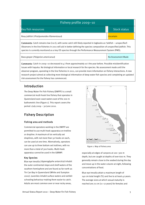# Fishery profile 2009–10

| Key fish resources                                                                                                                                                                                                                                                                                                                                            | <b>Stock status</b> |  |
|---------------------------------------------------------------------------------------------------------------------------------------------------------------------------------------------------------------------------------------------------------------------------------------------------------------------------------------------------------------|---------------------|--|
| Rosy jobfish ( <i>Pristipomoides filamentosus</i> )                                                                                                                                                                                                                                                                                                           | <b>Uncertain</b>    |  |
| <b>Comments:</b> Catch remains low (<10 t), with some catch still likely reported in logbooks as 'Jobfish – unspecified'.<br>Observers in the line fisheries in 2011 will aid in better defining the species composition of unspecified jobfish. This<br>species is currently monitored as a key OS species through the Performance Measurement System (PMS). |                     |  |

Bass groper (*Polyprion americanus*) and the setting of the setting of the No Assessment Made

 observer program, operating in the line fisheries in 2011, can provide more information on fishery interactions. A new **Comments:** Catch in 2009–10 decreased to 4 t from approximately 10 t the year before. Possible misidentification issues with hapuka. No biological information or local research for the species. No assessment made until the research project aimed at collecting more biological information of deep water fish species and completing an updated risk assessment for the fishery has commenced.

# Introduction

The Deep Water Fin Fish Fishery (DWFFF) is a small commercial multi-hook line fishery that operates in Queensland east coast waters east of the 200 m bathometric line (Figure 1). This report covers the period 1 July 2009 – 30 June 2010.

# Fishery Description

## Fishing area and methods

Commercial operators working in the DWFFF are permitted to use multi-hook apparatus on trotline or dropline. A maximum of six vertically set droplines, with not more than 50 hooks on each, can be used at one time. Alternatively, operators can use up to three bottom set trotlines, with no more than a total of 300 hooks. Multi-hook apparatus cannot be used in the GBRMP.

## Key Species

Blue eye trevalla (Hyperoglyphe antarctica) inhabit the outer continental slope and shelf waters of the southern hemisphere and are found as far north as Tin Can Bay in Queensland (White and Sumpton 2002). Juveniles inhabit surface waters and exhibit schooling behaviour making them easier to catch. Adults are most common over or near rocky areas,



Figure 1: Map of fishery area

especially at edges of canyons at 100–300 m depth, but are caught at depths of over 600 m. They generally remain close to the seabed during the day and move up in the water column at night, following concentrations of food.

Blue eye trevalla attain a maximum length of 140 cm total length (TL) and live to at least 42 years. The average sizes at which sexual maturity is reached are 72 cm (11–12 years) for females and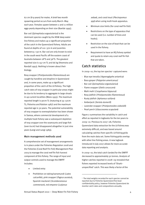62 cm (8-9 years) for males. A brief two month spawning period occurs from early March–May each year. Females spawn between 2 and 11 million eggs yearly depending on their size (Baelde 1995).

Bar cod (Epinephalus ergastularius) is the dominant species caught by the NSW deep water line fishery and makes up a significant proportion of the catch in the Queensland fishery. Adults are found at depths of 110–370 m and juveniles between15–130 m. Bar cod are only known to exist in the south west Pacific off the eastern coast of Australia between 18°S and 36°S. The greatest reported size is 157 cm TL and 66 kg (Heemstra and Randall 1993). Nothing is known about their biology.

Rosy snapper (Pristipomoides filamentosus) are caught by handline and dropline in Queensland and, in some years, make up a significant proportion of the catch of the L8 fishery. The high catch rates of rosy snapper in particular areas might be due to its tendency to aggregate in large shoals in up-current localities (Mees 1993). The maximum reported length is 90cm TL (maturing at 35–50cm TL; Polovina and Ralston 1987) and the maximum reported age is 30 years. The potential vulnerability of rosy snapper to overexploitation has been shown in Samoa, where commercial development of a multiple hook fishery saw a subsequent depletion of rosy snapper over the seamounts and large fish (over 61cm) had disappeared altogether in just nine years (Langi and Langi 1989).

## Main management methods used

A comprehensive set of management arrangements is in place under the Fisheries Regulation 2008 and the Fisheries (Coral Reef Fin Fish) Management Plan 2003 to manage the coral reef fin fish harvest component of this fishery. The range of input and output controls used to manage the DWFFF includes:

- Limited entry
- <span id="page-4-0"></span>Prohibition on taking barramundi (Lates calcarifen, pink snapper (Pagrus auratus), Spanish mackerel (Scomberomorus commerson), red emperor (Lutjanus

sebae), and coral trout (Plectropomus spp) when using multi-hook apparatus.

- Minimum size limits (for coral reef fin fish)
- Restrictions on the type of apparatus that can be used (i.e. number of lines and hooks).
- Restriction on the size of boat that can be used in the fishery.
- Requirement to have an RQ fishery symbol and quota to retain any coral reef fin fish that are taken.

# Catch statistics

In 2009–[1](#page-4-0)0, the top ten species<sup>1</sup> captured were:

- Blue eye trevalla (Hyperoglyphe antartica)
- Bass groper (Polyprion americanus)
- Bar cod (Epinephalus ergastularius)
- Flame snapper (*Etelis coruscans*)
- Mahi mahi (Coryphaena hippurus)
- Rosy jobfish (Pristipomoides filamentosus)
- Rusty jobfish (Aphareus rutilans)
- Amberjack (Seriola dumerili)
- Lavender snapper (Pristipomoides sieboldii)
- Pearl perch (Glaucosoma scapulare)

data reporting and analysis. Figure 2 summarises the variability in catch and effort as reported in logbooks for the ten years to 2009–10. Previous to 2007–08, Fisheries Queensland data extraction for the L8 fishery was extremely difficult, and was based around calculating catches from specific L8 fishing grids from the main data set. Some fishing grids overlap with other line fishing areas. A new logbook introduced in July 2007 allows for more accurate

In 2009–10, the total catch landed for the DWFFF decreased to approximately 50 tonnes. Analysis of higher catches reported in 2008–09 revealed that fishers reported increased levels of 'Shark– unspecified' catch. This was likely a factor of the

1

<sup>&</sup>lt;sup>1</sup> The total weights recorded for each species cannot be reported due to Fisheries Queensland five-boat confidentiality policy, however Fisheries Queensland do monitor catch rates and compositions annually.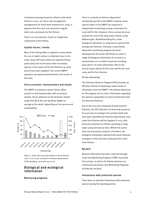investment warning issued for reform to the shark fishery in 2007–08. Since new management arrangements for shark were introduced in 2009, it appears that the catch has returned to regular levels seen previously for this fishery.

There is no recreational, charter or Indigenous component to this fishery.

#### Spatial issues / trends

Most of the fishing effort is applied in areas where the 200 m depth contour is relatively close to the coast. Areas off Fraser Island are regularly fished, particularly over recent years when secondary species in the rocky reef fin fish fishery (e.g. pearl perch) have been targeted. The current DWFFF operators are based predominantly in the south of the state.

## Socio-economic characteristics and trends

The DWFFF is primarily a winter fishery. Most product is sold domestically, with occasional exports. Prices obtained on the domestic market range from \$5 to \$10 per kg whole weight on average at the wharf, depending on the species and marketability.



Figure 2: Total catch and days fished in the L8 fishery 2000–01 to 2009–10 (Source: Fisheries Queensland CFISH database; accessed 19/11/10)

# Biological and ecological information

#### Monitoring programs

There is currently no fishery independent monitoring specific to the DWFFF; however some species taken in the DWFFF are captured in independent monitoring surveys undertaken for coral reef fin fish. However, these surveys do occur outside the area of the deep water fishery, using different gear. Notwithstanding this, some biological information is collected on species that overlap line fisheries. Similarly, a new fishery dependent monitoring program has been developed for the rocky reef fishery to collect a range of biological information for inclusion in assessments on a number of species including pearl perch. For more information refer to the annual status reports for the coral reef fin fish and rocky reef fin fish fisheries.

#### At-sea observing

The Fisheries Observer Program (FOP) provides an effective method of obtaining a wide variety of information from the DWFFF. The primary objectives for the program are to collect information regarding the species composition of catch and bycatch from the observed fisheries.

Due to the size and complexity of Queensland's fisheries, the FOP allocates its observing resources for each year according to the priority needs that have been identified by Fisheries Queensland. East coast line fisheries will be targeted in 2011, with particular emphasis on fishers operating in deep water using mechanical reels. Whilst this sector does not exclusively comprise L8 holders, the biological information obtained will assist fisheries managers in their decision making for this multihook fishery.

## Bycatch

Bycatch information has been collected through Long Term Monitoring Program (LTMP) structured line surveys, as well as by fishery observers on commercial operations (see Monitoring Programs and Results section).

#### Interactions with protected species

There were no reported interactions with protected species during the reporting period.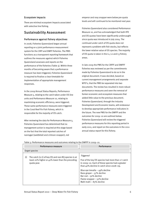#### Ecosystem impacts

There are minimal ecosystem impacts associated with selective line fishing.

# Sustainability Assessment

#### Performance against fishery objectives

In 2008, Fisheries Queensland began annual reporting on a joint performance measurement system for the CRFF and DWFF fisheries. The PMS functions as a transparent reporting framework that outlines the measures against which Fisheries Queensland assesses and reports on the performance of the fisheries (Table 3). Within three months of becoming aware that a performance measure has been triggered, Fisheries Queensland is required to finalise a clear timetable for implementation of appropriate management responses.

In the 2009 Annual Status Reports, Performance Measure 5, relating to the catch taken under OS line units and Performance Measure 10, relating to maximising economic efficiency, were triggered. These same performance measures were triggered in the Coral Reef Fin Fish Fishery, which is responsible for the majority of OS catch.

After reviewing the data for Performance Measure 5, Fisheries Queensland has determined that no management action is required at this stage based on the fact that the total reported catches of nannygai (saddletail and crimson snapper), red

emperor and rosy snapper were below pre-quota levels and will continued to be monitored next year.

Fisheries Queensland also considered Performance Measure 10, and has acknowledged that both RTE and OS quotas have been significantly undercaught since quota was introduced in July 2004. The continued under catch of OS quota does not represent a problem with fish stocks, but reflects the lower relative value of OS species. The majority of OS quota is taken in the L1, L2 and L3 fishery areas.

In late 2009 the PMS for the CRFFF and DWFFF fisheries was reviewed as per the commitments made by Fisheries Queensland to do so in the original document. It was decided, based on current management arrangements and separate WTO's, that the PMS be separated into two documents. The review has resulted in more robust performance measures and seen the removal of former economic and ecosystem measures that added little value to the previous document. Fisheries Queensland, through the Industry Development and Economic teams, will endeavour to develop appropriate performance indicators in the future. The new PMS for the DWFFF and the outcomes for 2009–10 are outlined below. Fisheries Queensland will review the triggered performance measures for this reporting period in early 2011, and report on the outcomes in the 2011 annual status report for this fishery.

Table 3: Performance measures and outcomes relating to the DWFFF in 2009–10.

|                | Performance measure                                                                                                       | Performance                                                                                                                                                                                                                                                                                                            |
|----------------|---------------------------------------------------------------------------------------------------------------------------|------------------------------------------------------------------------------------------------------------------------------------------------------------------------------------------------------------------------------------------------------------------------------------------------------------------------|
| Target species |                                                                                                                           |                                                                                                                                                                                                                                                                                                                        |
| (i)            | The catch $(y_2 t)$ of key OS and non-RQ species is at<br>least 20% higher or 40% lower than the preceding<br>quota year. | Triggered<br>Five of the key OS species had more than 2 t catch<br>in 2009-10. Each of these species had a greater<br>than 40% decline in catch since 2008-09.<br>Blue eye trevalla $-$ 49% decline<br>Bass groper - 57% decline<br>Bar $\cot$ – 50% decline<br>Flame snapper - 52% decline<br>Mahi mahi - 83% decline |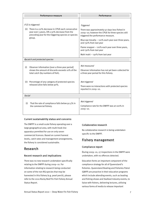|                                      | Performance measure                                                                                                                                       | Performance                                                                                                                               |
|--------------------------------------|-----------------------------------------------------------------------------------------------------------------------------------------------------------|-------------------------------------------------------------------------------------------------------------------------------------------|
|                                      |                                                                                                                                                           |                                                                                                                                           |
|                                      | If (i) is triggered:                                                                                                                                      | <b>Triggered</b>                                                                                                                          |
| (ii)                                 | There is a 20% decrease in CPUE each consecutive<br>year over 3 years, OR a 30% decrease from the<br>preceding year for the triggering species or species | There was approximately 50 days less fished in<br>2009-10; however the CPUE for three species still<br>triggered the performance measure. |
|                                      | group.                                                                                                                                                    | Blue eye trevalla $-$ >20% each year over three years,<br>and >30% from last year                                                         |
|                                      |                                                                                                                                                           | Flame snapper $-$ >20% each year over three years,<br>and >30% from last year                                                             |
|                                      |                                                                                                                                                           | Mahi mahi - $30\%$ from last year                                                                                                         |
| <b>Bycatch and protected species</b> |                                                                                                                                                           |                                                                                                                                           |
| (i)                                  | Observer information [over a three year period]<br>shows the amount of discards exceeds 10% of the<br>total catch (by numbers of fish).                   | Not measured<br>Observer information has not yet been collected for<br>a three year period for this fishery.                              |
| (ii)                                 | Percentage of any category of protected species<br>released alive falls below 90%.                                                                        | Not triggered<br>There were no interactions with protected species<br>reported in 2009-10.                                                |
| Social                               |                                                                                                                                                           |                                                                                                                                           |
| (i)                                  | That the rate of compliance falls below 92.5% in<br>the commercial fishery.                                                                               | Not triggered<br>Compliance rate for the DWFFF was at 100% in<br>$2009 - 10.$                                                             |

## Current sustainability status and concerns

The DWFFF is a small-scale fishery operating over a large geographical area, with multi-hook line apparatus permitted for use on only seven commercial licences. Based on current harvest levels, catch rates and management arrangements, the fishery is considered sustainable.

# Research

## Recent research and implications

There was no new research undertaken specifically relating to the DWFFF during 2009–10. For information relating to research being conducted on some of the non-RQ species that may be harvested in this fishery (e.g. pearl perch), please refer to the 2010 Rocky Reef Fin Fish Fishery Annual Status Report.

## Collaborative research

No collaborative research is being undertaken specific to the DWFFF.

# Fishery management

## Compliance report

During 2009–10, 27 inspections in the DWFFF were undertaken, with no offences detected.

Education forms an important component of the compliance strategy for all of Queensland's fisheries. Queensland Boating and Fisheries Patrol (QBFP) are proactive in their education programs which include attending events, such as boating and fishing shows and Seafood Industry events, to liaise with fishers, delivering lectures, utilising various forms of media to release important